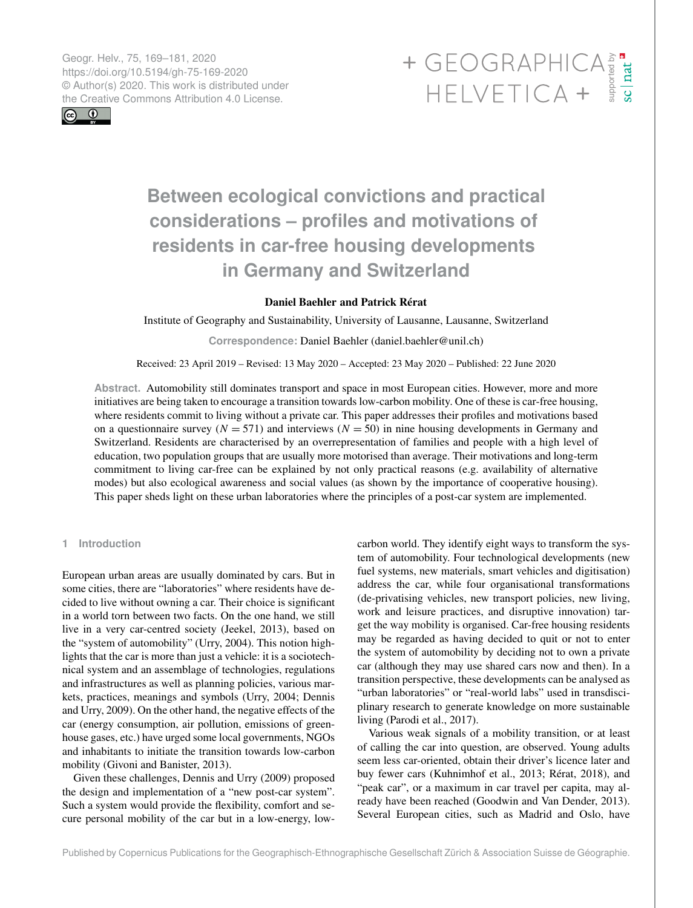Geogr. Helv., 75, 169–181, 2020 https://doi.org/10.5194/gh-75-169-2020 © Author(s) 2020. This work is distributed under



# Geogr. Helv., 75, 169–181, 2020<br>https://doi.org/10.5194/gh-75-169-2020<br>
© Author(s) 2020. This work is distributed under<br>
the Creative Commons Attribution 4.0 License.<br>
HELVETICA +

# **Between ecological convictions and practical considerations – profiles and motivations of residents in car-free housing developments in Germany and Switzerland**

# Daniel Baehler and Patrick Rérat

Institute of Geography and Sustainability, University of Lausanne, Lausanne, Switzerland

**Correspondence:** Daniel Baehler (daniel.baehler@unil.ch)

Received: 23 April 2019 – Revised: 13 May 2020 – Accepted: 23 May 2020 – Published: 22 June 2020

**Abstract.** Automobility still dominates transport and space in most European cities. However, more and more initiatives are being taken to encourage a transition towards low-carbon mobility. One of these is car-free housing, where residents commit to living without a private car. This paper addresses their profiles and motivations based on a questionnaire survey ( $N = 571$ ) and interviews ( $N = 50$ ) in nine housing developments in Germany and Switzerland. Residents are characterised by an overrepresentation of families and people with a high level of education, two population groups that are usually more motorised than average. Their motivations and long-term commitment to living car-free can be explained by not only practical reasons (e.g. availability of alternative modes) but also ecological awareness and social values (as shown by the importance of cooperative housing). This paper sheds light on these urban laboratories where the principles of a post-car system are implemented.

# **1 Introduction**

European urban areas are usually dominated by cars. But in some cities, there are "laboratories" where residents have decided to live without owning a car. Their choice is significant in a world torn between two facts. On the one hand, we still live in a very car-centred society (Jeekel, 2013), based on the "system of automobility" (Urry, 2004). This notion highlights that the car is more than just a vehicle: it is a sociotechnical system and an assemblage of technologies, regulations and infrastructures as well as planning policies, various markets, practices, meanings and symbols (Urry, 2004; Dennis and Urry, 2009). On the other hand, the negative effects of the car (energy consumption, air pollution, emissions of greenhouse gases, etc.) have urged some local governments, NGOs and inhabitants to initiate the transition towards low-carbon mobility (Givoni and Banister, 2013).

Given these challenges, Dennis and Urry (2009) proposed the design and implementation of a "new post-car system". Such a system would provide the flexibility, comfort and secure personal mobility of the car but in a low-energy, lowcarbon world. They identify eight ways to transform the system of automobility. Four technological developments (new fuel systems, new materials, smart vehicles and digitisation) address the car, while four organisational transformations (de-privatising vehicles, new transport policies, new living, work and leisure practices, and disruptive innovation) target the way mobility is organised. Car-free housing residents may be regarded as having decided to quit or not to enter the system of automobility by deciding not to own a private car (although they may use shared cars now and then). In a transition perspective, these developments can be analysed as "urban laboratories" or "real-world labs" used in transdisciplinary research to generate knowledge on more sustainable living (Parodi et al., 2017).

Various weak signals of a mobility transition, or at least of calling the car into question, are observed. Young adults seem less car-oriented, obtain their driver's licence later and buy fewer cars (Kuhnimhof et al., 2013; Rérat, 2018), and "peak car", or a maximum in car travel per capita, may already have been reached (Goodwin and Van Dender, 2013). Several European cities, such as Madrid and Oslo, have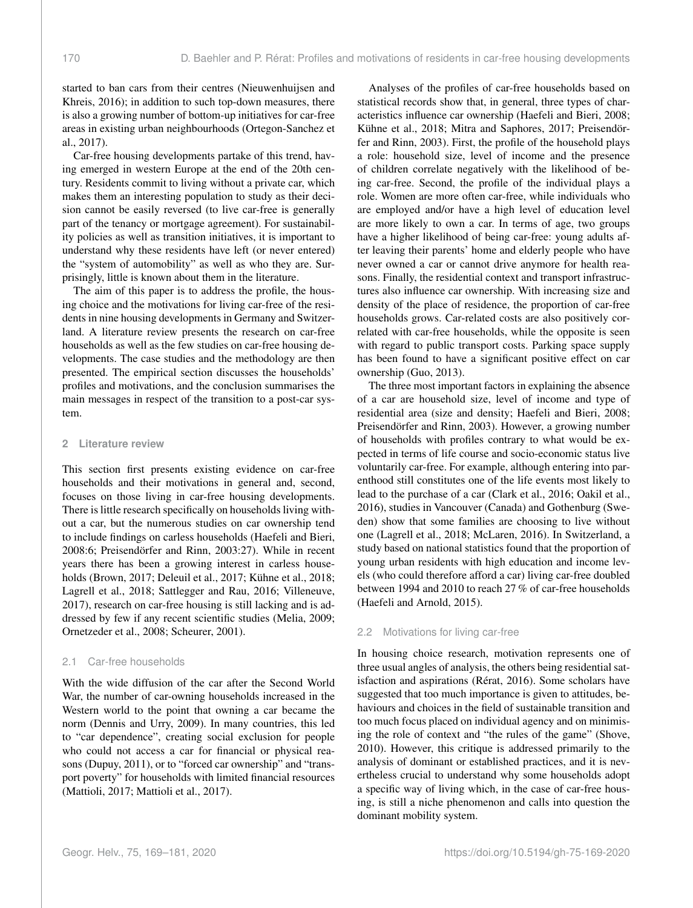started to ban cars from their centres (Nieuwenhuijsen and Khreis, 2016); in addition to such top-down measures, there is also a growing number of bottom-up initiatives for car-free areas in existing urban neighbourhoods (Ortegon-Sanchez et al., 2017).

Car-free housing developments partake of this trend, having emerged in western Europe at the end of the 20th century. Residents commit to living without a private car, which makes them an interesting population to study as their decision cannot be easily reversed (to live car-free is generally part of the tenancy or mortgage agreement). For sustainability policies as well as transition initiatives, it is important to understand why these residents have left (or never entered) the "system of automobility" as well as who they are. Surprisingly, little is known about them in the literature.

The aim of this paper is to address the profile, the housing choice and the motivations for living car-free of the residents in nine housing developments in Germany and Switzerland. A literature review presents the research on car-free households as well as the few studies on car-free housing developments. The case studies and the methodology are then presented. The empirical section discusses the households' profiles and motivations, and the conclusion summarises the main messages in respect of the transition to a post-car system.

#### **2 Literature review**

This section first presents existing evidence on car-free households and their motivations in general and, second, focuses on those living in car-free housing developments. There is little research specifically on households living without a car, but the numerous studies on car ownership tend to include findings on carless households (Haefeli and Bieri, 2008:6; Preisendörfer and Rinn, 2003:27). While in recent years there has been a growing interest in carless households (Brown, 2017; Deleuil et al., 2017; Kühne et al., 2018; Lagrell et al., 2018; Sattlegger and Rau, 2016; Villeneuve, 2017), research on car-free housing is still lacking and is addressed by few if any recent scientific studies (Melia, 2009; Ornetzeder et al., 2008; Scheurer, 2001).

#### 2.1 Car-free households

With the wide diffusion of the car after the Second World War, the number of car-owning households increased in the Western world to the point that owning a car became the norm (Dennis and Urry, 2009). In many countries, this led to "car dependence", creating social exclusion for people who could not access a car for financial or physical reasons (Dupuy, 2011), or to "forced car ownership" and "transport poverty" for households with limited financial resources (Mattioli, 2017; Mattioli et al., 2017).

Analyses of the profiles of car-free households based on statistical records show that, in general, three types of characteristics influence car ownership (Haefeli and Bieri, 2008; Kühne et al., 2018; Mitra and Saphores, 2017; Preisendörfer and Rinn, 2003). First, the profile of the household plays a role: household size, level of income and the presence of children correlate negatively with the likelihood of being car-free. Second, the profile of the individual plays a role. Women are more often car-free, while individuals who are employed and/or have a high level of education level are more likely to own a car. In terms of age, two groups have a higher likelihood of being car-free: young adults after leaving their parents' home and elderly people who have never owned a car or cannot drive anymore for health reasons. Finally, the residential context and transport infrastructures also influence car ownership. With increasing size and density of the place of residence, the proportion of car-free households grows. Car-related costs are also positively correlated with car-free households, while the opposite is seen with regard to public transport costs. Parking space supply has been found to have a significant positive effect on car ownership (Guo, 2013).

The three most important factors in explaining the absence of a car are household size, level of income and type of residential area (size and density; Haefeli and Bieri, 2008; Preisendörfer and Rinn, 2003). However, a growing number of households with profiles contrary to what would be expected in terms of life course and socio-economic status live voluntarily car-free. For example, although entering into parenthood still constitutes one of the life events most likely to lead to the purchase of a car (Clark et al., 2016; Oakil et al., 2016), studies in Vancouver (Canada) and Gothenburg (Sweden) show that some families are choosing to live without one (Lagrell et al., 2018; McLaren, 2016). In Switzerland, a study based on national statistics found that the proportion of young urban residents with high education and income levels (who could therefore afford a car) living car-free doubled between 1994 and 2010 to reach 27 % of car-free households (Haefeli and Arnold, 2015).

### 2.2 Motivations for living car-free

In housing choice research, motivation represents one of three usual angles of analysis, the others being residential satisfaction and aspirations (Rérat, 2016). Some scholars have suggested that too much importance is given to attitudes, behaviours and choices in the field of sustainable transition and too much focus placed on individual agency and on minimising the role of context and "the rules of the game" (Shove, 2010). However, this critique is addressed primarily to the analysis of dominant or established practices, and it is nevertheless crucial to understand why some households adopt a specific way of living which, in the case of car-free housing, is still a niche phenomenon and calls into question the dominant mobility system.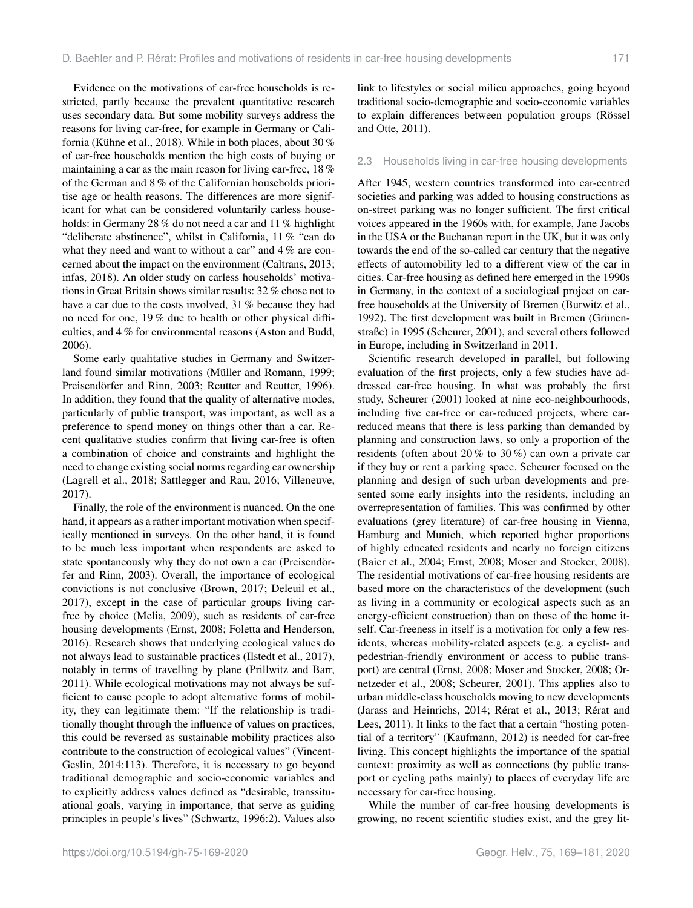Evidence on the motivations of car-free households is restricted, partly because the prevalent quantitative research uses secondary data. But some mobility surveys address the reasons for living car-free, for example in Germany or California (Kühne et al., 2018). While in both places, about 30 % of car-free households mention the high costs of buying or maintaining a car as the main reason for living car-free, 18 % of the German and 8 % of the Californian households prioritise age or health reasons. The differences are more significant for what can be considered voluntarily carless households: in Germany 28 % do not need a car and 11 % highlight "deliberate abstinence", whilst in California, 11 % "can do what they need and want to without a car" and 4 % are concerned about the impact on the environment (Caltrans, 2013; infas, 2018). An older study on carless households' motivations in Great Britain shows similar results: 32 % chose not to have a car due to the costs involved, 31 % because they had no need for one, 19 % due to health or other physical difficulties, and 4 % for environmental reasons (Aston and Budd, 2006).

Some early qualitative studies in Germany and Switzerland found similar motivations (Müller and Romann, 1999; Preisendörfer and Rinn, 2003; Reutter and Reutter, 1996). In addition, they found that the quality of alternative modes, particularly of public transport, was important, as well as a preference to spend money on things other than a car. Recent qualitative studies confirm that living car-free is often a combination of choice and constraints and highlight the need to change existing social norms regarding car ownership (Lagrell et al., 2018; Sattlegger and Rau, 2016; Villeneuve, 2017).

Finally, the role of the environment is nuanced. On the one hand, it appears as a rather important motivation when specifically mentioned in surveys. On the other hand, it is found to be much less important when respondents are asked to state spontaneously why they do not own a car (Preisendörfer and Rinn, 2003). Overall, the importance of ecological convictions is not conclusive (Brown, 2017; Deleuil et al., 2017), except in the case of particular groups living carfree by choice (Melia, 2009), such as residents of car-free housing developments (Ernst, 2008; Foletta and Henderson, 2016). Research shows that underlying ecological values do not always lead to sustainable practices (Ilstedt et al., 2017), notably in terms of travelling by plane (Prillwitz and Barr, 2011). While ecological motivations may not always be sufficient to cause people to adopt alternative forms of mobility, they can legitimate them: "If the relationship is traditionally thought through the influence of values on practices, this could be reversed as sustainable mobility practices also contribute to the construction of ecological values" (Vincent-Geslin, 2014:113). Therefore, it is necessary to go beyond traditional demographic and socio-economic variables and to explicitly address values defined as "desirable, transsituational goals, varying in importance, that serve as guiding principles in people's lives" (Schwartz, 1996:2). Values also link to lifestyles or social milieu approaches, going beyond traditional socio-demographic and socio-economic variables to explain differences between population groups (Rössel and Otte, 2011).

#### 2.3 Households living in car-free housing developments

After 1945, western countries transformed into car-centred societies and parking was added to housing constructions as on-street parking was no longer sufficient. The first critical voices appeared in the 1960s with, for example, Jane Jacobs in the USA or the Buchanan report in the UK, but it was only towards the end of the so-called car century that the negative effects of automobility led to a different view of the car in cities. Car-free housing as defined here emerged in the 1990s in Germany, in the context of a sociological project on carfree households at the University of Bremen (Burwitz et al., 1992). The first development was built in Bremen (Grünenstraße) in 1995 (Scheurer, 2001), and several others followed in Europe, including in Switzerland in 2011.

Scientific research developed in parallel, but following evaluation of the first projects, only a few studies have addressed car-free housing. In what was probably the first study, Scheurer (2001) looked at nine eco-neighbourhoods, including five car-free or car-reduced projects, where carreduced means that there is less parking than demanded by planning and construction laws, so only a proportion of the residents (often about 20 % to 30 %) can own a private car if they buy or rent a parking space. Scheurer focused on the planning and design of such urban developments and presented some early insights into the residents, including an overrepresentation of families. This was confirmed by other evaluations (grey literature) of car-free housing in Vienna, Hamburg and Munich, which reported higher proportions of highly educated residents and nearly no foreign citizens (Baier et al., 2004; Ernst, 2008; Moser and Stocker, 2008). The residential motivations of car-free housing residents are based more on the characteristics of the development (such as living in a community or ecological aspects such as an energy-efficient construction) than on those of the home itself. Car-freeness in itself is a motivation for only a few residents, whereas mobility-related aspects (e.g. a cyclist- and pedestrian-friendly environment or access to public transport) are central (Ernst, 2008; Moser and Stocker, 2008; Ornetzeder et al., 2008; Scheurer, 2001). This applies also to urban middle-class households moving to new developments (Jarass and Heinrichs, 2014; Rérat et al., 2013; Rérat and Lees, 2011). It links to the fact that a certain "hosting potential of a territory" (Kaufmann, 2012) is needed for car-free living. This concept highlights the importance of the spatial context: proximity as well as connections (by public transport or cycling paths mainly) to places of everyday life are necessary for car-free housing.

While the number of car-free housing developments is growing, no recent scientific studies exist, and the grey lit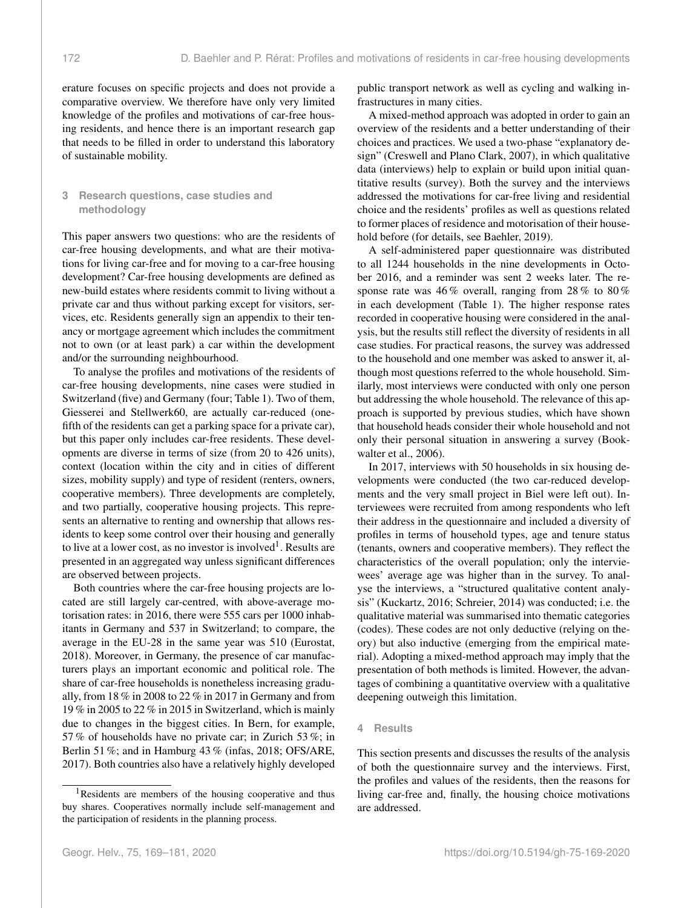erature focuses on specific projects and does not provide a comparative overview. We therefore have only very limited knowledge of the profiles and motivations of car-free housing residents, and hence there is an important research gap that needs to be filled in order to understand this laboratory of sustainable mobility.

# **3 Research questions, case studies and methodology**

This paper answers two questions: who are the residents of car-free housing developments, and what are their motivations for living car-free and for moving to a car-free housing development? Car-free housing developments are defined as new-build estates where residents commit to living without a private car and thus without parking except for visitors, services, etc. Residents generally sign an appendix to their tenancy or mortgage agreement which includes the commitment not to own (or at least park) a car within the development and/or the surrounding neighbourhood.

To analyse the profiles and motivations of the residents of car-free housing developments, nine cases were studied in Switzerland (five) and Germany (four; Table 1). Two of them, Giesserei and Stellwerk60, are actually car-reduced (onefifth of the residents can get a parking space for a private car), but this paper only includes car-free residents. These developments are diverse in terms of size (from 20 to 426 units), context (location within the city and in cities of different sizes, mobility supply) and type of resident (renters, owners, cooperative members). Three developments are completely, and two partially, cooperative housing projects. This represents an alternative to renting and ownership that allows residents to keep some control over their housing and generally to live at a lower cost, as no investor is involved<sup>[1](#page-3-0)</sup>. Results are presented in an aggregated way unless significant differences are observed between projects.

Both countries where the car-free housing projects are located are still largely car-centred, with above-average motorisation rates: in 2016, there were 555 cars per 1000 inhabitants in Germany and 537 in Switzerland; to compare, the average in the EU-28 in the same year was 510 (Eurostat, 2018). Moreover, in Germany, the presence of car manufacturers plays an important economic and political role. The share of car-free households is nonetheless increasing gradually, from 18 % in 2008 to 22 % in 2017 in Germany and from 19 % in 2005 to 22 % in 2015 in Switzerland, which is mainly due to changes in the biggest cities. In Bern, for example, 57 % of households have no private car; in Zurich 53 %; in Berlin 51 %; and in Hamburg 43 % (infas, 2018; OFS/ARE, 2017). Both countries also have a relatively highly developed

public transport network as well as cycling and walking infrastructures in many cities.

A mixed-method approach was adopted in order to gain an overview of the residents and a better understanding of their choices and practices. We used a two-phase "explanatory design" (Creswell and Plano Clark, 2007), in which qualitative data (interviews) help to explain or build upon initial quantitative results (survey). Both the survey and the interviews addressed the motivations for car-free living and residential choice and the residents' profiles as well as questions related to former places of residence and motorisation of their household before (for details, see Baehler, 2019).

A self-administered paper questionnaire was distributed to all 1244 households in the nine developments in October 2016, and a reminder was sent 2 weeks later. The response rate was 46 % overall, ranging from 28 % to 80 % in each development (Table 1). The higher response rates recorded in cooperative housing were considered in the analysis, but the results still reflect the diversity of residents in all case studies. For practical reasons, the survey was addressed to the household and one member was asked to answer it, although most questions referred to the whole household. Similarly, most interviews were conducted with only one person but addressing the whole household. The relevance of this approach is supported by previous studies, which have shown that household heads consider their whole household and not only their personal situation in answering a survey (Bookwalter et al., 2006).

In 2017, interviews with 50 households in six housing developments were conducted (the two car-reduced developments and the very small project in Biel were left out). Interviewees were recruited from among respondents who left their address in the questionnaire and included a diversity of profiles in terms of household types, age and tenure status (tenants, owners and cooperative members). They reflect the characteristics of the overall population; only the interviewees' average age was higher than in the survey. To analyse the interviews, a "structured qualitative content analysis" (Kuckartz, 2016; Schreier, 2014) was conducted; i.e. the qualitative material was summarised into thematic categories (codes). These codes are not only deductive (relying on theory) but also inductive (emerging from the empirical material). Adopting a mixed-method approach may imply that the presentation of both methods is limited. However, the advantages of combining a quantitative overview with a qualitative deepening outweigh this limitation.

#### **4 Results**

This section presents and discusses the results of the analysis of both the questionnaire survey and the interviews. First, the profiles and values of the residents, then the reasons for living car-free and, finally, the housing choice motivations are addressed.

<span id="page-3-0"></span><sup>1</sup>Residents are members of the housing cooperative and thus buy shares. Cooperatives normally include self-management and the participation of residents in the planning process.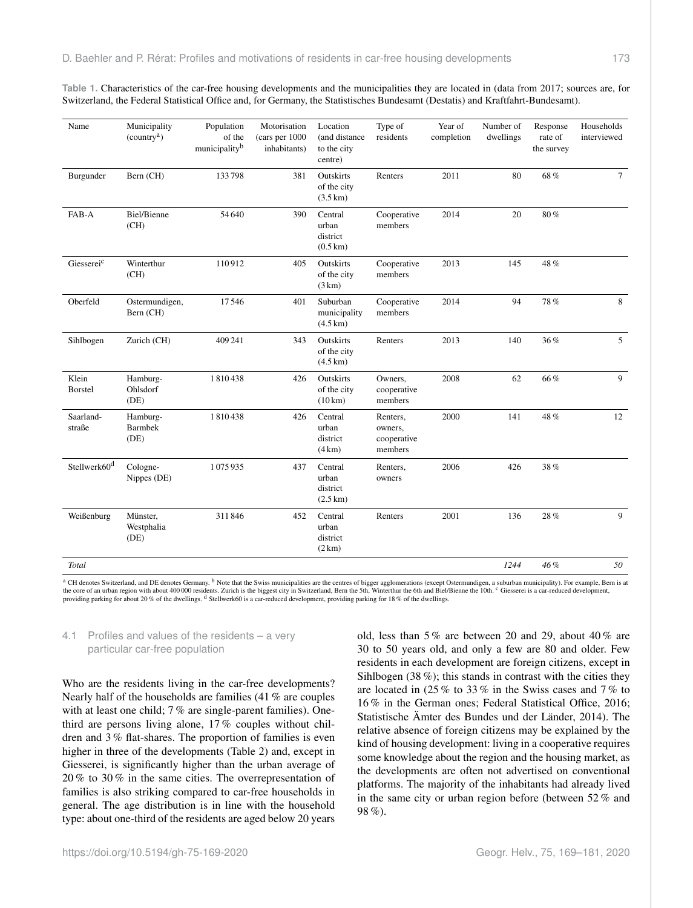**Table 1.** Characteristics of the car-free housing developments and the municipalities they are located in (data from 2017; sources are, for Switzerland, the Federal Statistical Office and, for Germany, the Statistisches Bundesamt (Destatis) and Kraftfahrt-Bundesamt).

| Name                     | Municipality<br>(country <sup>a</sup> ) | Population<br>of the<br>municipalityb | Motorisation<br>(cars per 1000<br>inhabitants) | Location<br>(and distance<br>to the city<br>centre)   | Type of<br>residents                          | Year of<br>completion | Number of<br>dwellings | Response<br>rate of<br>the survey | Households<br>interviewed |
|--------------------------|-----------------------------------------|---------------------------------------|------------------------------------------------|-------------------------------------------------------|-----------------------------------------------|-----------------------|------------------------|-----------------------------------|---------------------------|
| Burgunder                | Bern (CH)                               | 133798                                | 381                                            | Outskirts<br>of the city<br>$(3.5 \text{ km})$        | Renters                                       | 2011                  | 80                     | 68%                               | $\tau$                    |
| FAB-A                    | Biel/Bienne<br>(CH)                     | 54 640                                | 390                                            | Central<br>urban<br>district<br>$(0.5 \text{ km})$    | Cooperative<br>members                        | 2014                  | 20                     | $80\,\%$                          |                           |
| Giessereic               | Winterthur<br>(CH)                      | 110912                                | 405                                            | Outskirts<br>of the city<br>(3 km)                    | Cooperative<br>members                        | 2013                  | 145                    | 48 %                              |                           |
| Oberfeld                 | Ostermundigen,<br>Bern (CH)             | 17546                                 | 401                                            | Suburban<br>municipality<br>$(4.5 \,\mathrm{km})$     | Cooperative<br>members                        | 2014                  | 94                     | 78%                               | 8                         |
| Sihlbogen                | Zurich (CH)                             | 409 241                               | 343                                            | Outskirts<br>of the city<br>$(4.5 \text{ km})$        | Renters                                       | 2013                  | 140                    | 36%                               | 5                         |
| Klein<br>Borstel         | Hamburg-<br>Ohlsdorf<br>(DE)            | 1810438                               | 426                                            | Outskirts<br>of the city<br>$(10 \text{ km})$         | Owners.<br>cooperative<br>members             | 2008                  | 62                     | 66%                               | 9                         |
| Saarland-<br>straße      | Hamburg-<br><b>Barmbek</b><br>(DE)      | 1810438                               | 426                                            | Central<br>urban<br>district<br>(4 km)                | Renters,<br>owners,<br>cooperative<br>members | 2000                  | 141                    | 48%                               | 12                        |
| Stellwerk60 <sup>d</sup> | Cologne-<br>Nippes (DE)                 | 1075935                               | 437                                            | Central<br>urban<br>district<br>$(2.5 \,\mathrm{km})$ | Renters,<br>owners                            | 2006                  | 426                    | 38%                               |                           |
| Weißenburg               | Münster,<br>Westphalia<br>(DE)          | 311846                                | 452                                            | Central<br>urban<br>district<br>(2 km)                | Renters                                       | 2001                  | 136                    | 28%                               | 9                         |
| Total                    |                                         |                                       |                                                |                                                       |                                               |                       | 1244                   | 46%                               | 50                        |

<sup>a</sup> CH denotes Switzerland, and DE denotes Germany. <sup>b</sup> Note that the Swiss municipalities are the centres of bigger agglomerations (except Ostermundigen, a suburban municipality). For example, Bern is at the core of an urban region with about 400 000 residents. Zurich is the biggest city in Switzerland, Bern the 5th, Winterthur the 6th and Biel/Bienne the 10th. <sup>c</sup> Giesserei is a car-reduced development, providing parking for about 20 % of the dwellings. <sup>d</sup> Stellwerk60 is a car-reduced development, providing parking for 18 % of the dwellings.

### 4.1 Profiles and values of the residents – a very particular car-free population

Who are the residents living in the car-free developments? Nearly half of the households are families (41 % are couples with at least one child; 7% are single-parent families). Onethird are persons living alone, 17 % couples without children and 3 % flat-shares. The proportion of families is even higher in three of the developments (Table 2) and, except in Giesserei, is significantly higher than the urban average of 20 % to 30 % in the same cities. The overrepresentation of families is also striking compared to car-free households in general. The age distribution is in line with the household type: about one-third of the residents are aged below 20 years

old, less than 5 % are between 20 and 29, about 40 % are 30 to 50 years old, and only a few are 80 and older. Few residents in each development are foreign citizens, except in Sihlbogen (38 %); this stands in contrast with the cities they are located in (25 % to 33 % in the Swiss cases and 7 % to 16 % in the German ones; Federal Statistical Office, 2016; Statistische Ämter des Bundes und der Länder, 2014). The relative absence of foreign citizens may be explained by the kind of housing development: living in a cooperative requires some knowledge about the region and the housing market, as the developments are often not advertised on conventional platforms. The majority of the inhabitants had already lived in the same city or urban region before (between 52 % and 98 %).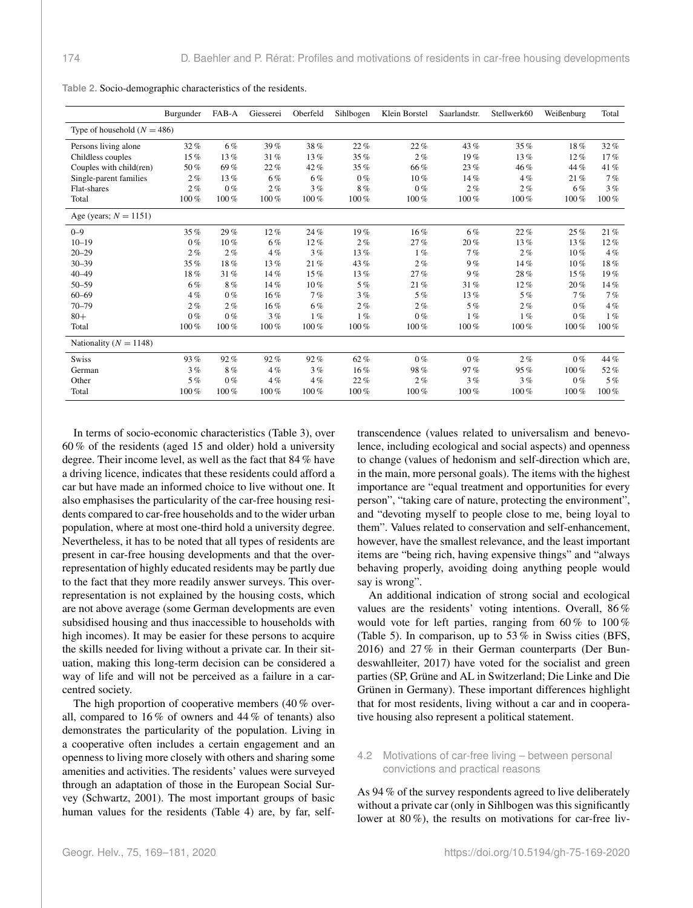|                               | Burgunder | FAB-A   | Giesserei | Oberfeld | Sihlbogen | Klein Borstel | Saarlandstr. | Stellwerk60 | Weißenburg | Total   |
|-------------------------------|-----------|---------|-----------|----------|-----------|---------------|--------------|-------------|------------|---------|
| Type of household $(N = 486)$ |           |         |           |          |           |               |              |             |            |         |
| Persons living alone          | 32%       | 6%      | 39%       | 38%      | 22%       | 22%           | 43%          | 35%         | 18%        | 32%     |
| Childless couples             | 15%       | 13%     | 31%       | 13%      | 35%       | 2%            | 19%          | 13%         | $12\%$     | 17%     |
| Couples with child(ren)       | 50%       | 69%     | 22%       | 42%      | 35%       | 66%           | 23%          | 46%         | 44 %       | 41%     |
| Single-parent families        | 2%        | 13%     | 6%        | 6%       | $0\%$     | $10\%$        | 14%          | $4\%$       | 21%        | 7%      |
| Flat-shares                   | 2%        | $0\%$   | $2\%$     | 3%       | 8%        | $0\%$         | 2%           | 2%          | $6\%$      | 3%      |
| Total                         | $100\%$   | $100\%$ | 100%      | 100%     | $100\%$   | $100\%$       | 100%         | $100\%$     | $100\%$    | $100\%$ |
| Age (years; $N = 1151$ )      |           |         |           |          |           |               |              |             |            |         |
| $0 - 9$                       | 35%       | 29%     | 12%       | 24%      | 19%       | $16\%$        | 6%           | 22%         | 25%        | 21%     |
| $10 - 19$                     | $0\%$     | $10\%$  | $6\%$     | 12%      | $2\%$     | 27%           | 20%          | 13%         | 13%        | $12\%$  |
| $20 - 29$                     | 2%        | 2%      | $4\%$     | 3%       | 13%       | $1\%$         | 7%           | 2%          | $10\%$     | 4%      |
| $30 - 39$                     | 35%       | 18%     | 13%       | 21%      | 43%       | 2%            | 9%           | 14%         | $10\%$     | 18%     |
| $40 - 49$                     | 18%       | 31%     | 14%       | 15%      | $13\%$    | 27%           | 9%           | 28%         | $15\%$     | 19%     |
| $50 - 59$                     | $6\%$     | 8%      | 14%       | $10\%$   | 5%        | 21%           | 31%          | 12%         | 20%        | 14%     |
| $60 - 69$                     | 4%        | $0\%$   | 16%       | 7%       | 3%        | 5%            | 13%          | 5%          | 7%         | 7%      |
| $70 - 79$                     | 2%        | $2\%$   | 16%       | 6%       | 2%        | 2%            | 5%           | 2%          | $0\%$      | 4%      |
| $80+$                         | $0\%$     | $0\%$   | 3%        | 1%       | 1%        | $0\%$         | 1%           | 1%          | $0\%$      | 1%      |
| Total                         | $100\%$   | $100\%$ | $100\%$   | 100%     | $100\%$   | $100\%$       | 100%         | $100\%$     | $100\%$    | $100\%$ |
| Nationality ( $N = 1148$ )    |           |         |           |          |           |               |              |             |            |         |
| <b>Swiss</b>                  | 93%       | 92%     | 92%       | 92%      | $62\%$    | $0\%$         | $0\%$        | 2%          | $0\%$      | 44 %    |
| German                        | 3%        | 8%      | $4\%$     | 3%       | 16%       | 98%           | 97%          | 95%         | 100%       | 52%     |
| Other                         | 5%        | $0\%$   | 4%        | 4%       | 22%       | 2%            | 3%           | 3%          | $0\%$      | 5%      |
| Total                         | $100\%$   | $100\%$ | 100%      | 100%     | $100\%$   | 100%          | 100%         | $100\%$     | $100\%$    | 100%    |

**Table 2.** Socio-demographic characteristics of the residents.

In terms of socio-economic characteristics (Table 3), over 60 % of the residents (aged 15 and older) hold a university degree. Their income level, as well as the fact that 84 % have a driving licence, indicates that these residents could afford a car but have made an informed choice to live without one. It also emphasises the particularity of the car-free housing residents compared to car-free households and to the wider urban population, where at most one-third hold a university degree. Nevertheless, it has to be noted that all types of residents are present in car-free housing developments and that the overrepresentation of highly educated residents may be partly due to the fact that they more readily answer surveys. This overrepresentation is not explained by the housing costs, which are not above average (some German developments are even subsidised housing and thus inaccessible to households with high incomes). It may be easier for these persons to acquire the skills needed for living without a private car. In their situation, making this long-term decision can be considered a way of life and will not be perceived as a failure in a carcentred society.

The high proportion of cooperative members (40 % overall, compared to 16 % of owners and 44 % of tenants) also demonstrates the particularity of the population. Living in a cooperative often includes a certain engagement and an openness to living more closely with others and sharing some amenities and activities. The residents' values were surveyed through an adaptation of those in the European Social Survey (Schwartz, 2001). The most important groups of basic human values for the residents (Table 4) are, by far, selftranscendence (values related to universalism and benevolence, including ecological and social aspects) and openness to change (values of hedonism and self-direction which are, in the main, more personal goals). The items with the highest importance are "equal treatment and opportunities for every person", "taking care of nature, protecting the environment", and "devoting myself to people close to me, being loyal to them". Values related to conservation and self-enhancement, however, have the smallest relevance, and the least important items are "being rich, having expensive things" and "always behaving properly, avoiding doing anything people would say is wrong".

An additional indication of strong social and ecological values are the residents' voting intentions. Overall, 86 % would vote for left parties, ranging from  $60\%$  to  $100\%$ (Table 5). In comparison, up to 53 % in Swiss cities (BFS, 2016) and 27 % in their German counterparts (Der Bundeswahlleiter, 2017) have voted for the socialist and green parties (SP, Grüne and AL in Switzerland; Die Linke and Die Grünen in Germany). These important differences highlight that for most residents, living without a car and in cooperative housing also represent a political statement.

# 4.2 Motivations of car-free living – between personal convictions and practical reasons

As 94 % of the survey respondents agreed to live deliberately without a private car (only in Sihlbogen was this significantly lower at 80 %), the results on motivations for car-free liv-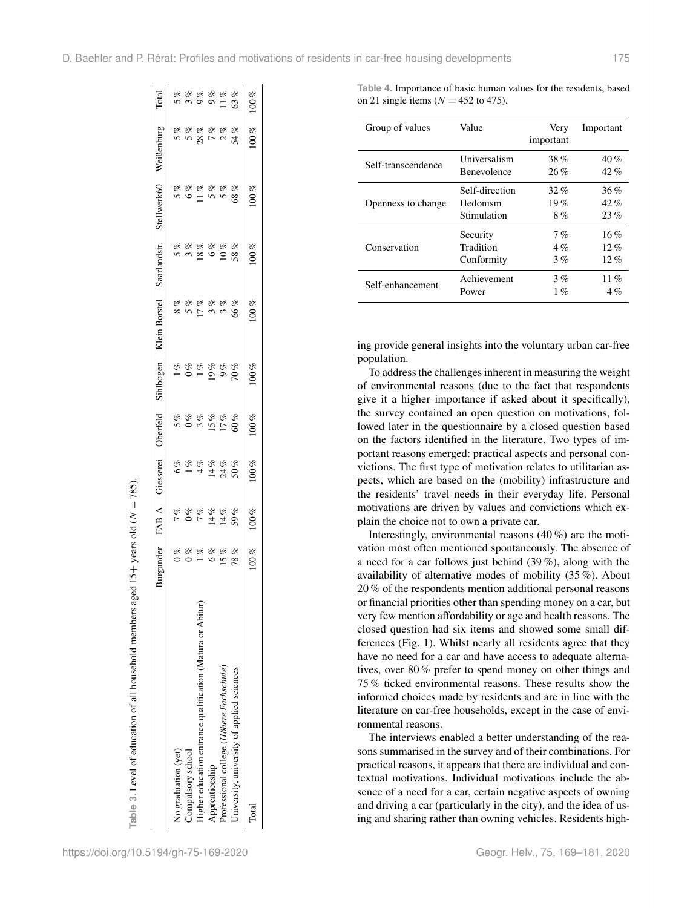|                                                            | Burgunder          | FAB-A                                               | Giesserei    | Oberfeld        | Sihlbogen     | Klein Borstel   | Saarlandstr.                               | Stellwerk60   | Weißenburg                                                    | Total |
|------------------------------------------------------------|--------------------|-----------------------------------------------------|--------------|-----------------|---------------|-----------------|--------------------------------------------|---------------|---------------------------------------------------------------|-------|
| No graduation (yet)                                        | $\sigma_{\varphi}$ |                                                     | 6%           |                 | $1\%$         |                 |                                            |               |                                                               | 5%    |
| Compulsory school                                          | $0\%$              |                                                     | $1\%$        |                 | $0\%$         | 8 %<br>5 %      | 8<br>8<br>8<br>1<br>8                      |               |                                                               | 3%    |
| Higher education entrance qualification (Matura or Abitur) | $1\%$              | 8<br>8<br>8<br>8<br>8<br>8<br>8<br>8<br>8<br>8<br>8 | 4%           | 888888<br>88888 | $1\%$         |                 |                                            |               | 5<br>8<br>8<br>8<br>8<br>8<br>8<br>8<br>8<br>8<br>8<br>8<br>8 |       |
| Apprenticeship                                             | 6%                 |                                                     | 14%          |                 | $\frac{6}{6}$ | $\frac{1}{3}$ % |                                            |               |                                                               |       |
| Professional college (Höhere Fachschule)                   | 15%                | $14\%$                                              | $24%$<br>50% |                 | 9%            | 3%              | $\begin{array}{c} 688 \\ 1088 \end{array}$ | $5%$<br>$68%$ |                                                               |       |
| University, university of applied sciences                 | 78%                | 59%                                                 |              |                 | 70%           | 66%             |                                            |               |                                                               |       |
| Total                                                      | $100\%$            | 100%                                                | $100\%$      | 100%            | $100\%$       | 100%            | 100%                                       | 100%          | 100%                                                          | 100%  |
|                                                            |                    |                                                     |              |                 |               |                 |                                            |               |                                                               |       |

**Table 4.** Importance of basic human values for the residents, based on 21 single items ( $N = 452$  to 475).

| Group of values    | Value          | Very<br>important | Important |
|--------------------|----------------|-------------------|-----------|
| Self-transcendence | Universalism   | $38\%$            | 40%       |
|                    | Benevolence    | 26%               | $42\%$    |
| Openness to change | Self-direction | 32 %              | 36%       |
|                    | Hedonism       | 19%               | 42%       |
|                    | Stimulation    | 8%                | 23%       |
| Conservation       | Security       | 7%                | 16%       |
|                    | Tradition      | $4\%$             | $12. \%$  |
|                    | Conformity     | 3%                | $12\%$    |
| Self-enhancement   | Achievement    | 3%                | 11%       |
|                    | Power          | $1\%$             | $4\%$     |

ing provide general insights into the voluntary urban car-free population.

To address the challenges inherent in measuring the weight of environmental reasons (due to the fact that respondents give it a higher importance if asked about it specifically), the survey contained an open question on motivations, followed later in the questionnaire by a closed question based on the factors identified in the literature. Two types of important reasons emerged: practical aspects and personal convictions. The first type of motivation relates to utilitarian aspects, which are based on the (mobility) infrastructure and the residents' travel needs in their everyday life. Personal motivations are driven by values and convictions which explain the choice not to own a private car.

Interestingly, environmental reasons (40 %) are the motivation most often mentioned spontaneously. The absence of a need for a car follows just behind (39 %), along with the availability of alternative modes of mobility (35 %). About 20 % of the respondents mention additional personal reasons or financial priorities other than spending money on a car, but very few mention affordability or age and health reasons. The closed question had six items and showed some small differences (Fig. 1). Whilst nearly all residents agree that they have no need for a car and have access to adequate alternatives, over 80 % prefer to spend money on other things and 75 % ticked environmental reasons. These results show the informed choices made by residents and are in line with the literature on car-free households, except in the case of environmental reasons.

The interviews enabled a better understanding of the reasons summarised in the survey and of their combinations. For practical reasons, it appears that there are individual and contextual motivations. Individual motivations include the absence of a need for a car, certain negative aspects of owning and driving a car (particularly in the city), and the idea of using and sharing rather than owning vehicles. Residents high-

**Table 3.** Level of education of all household members aged 15

+ years old ( N

 $= 785.$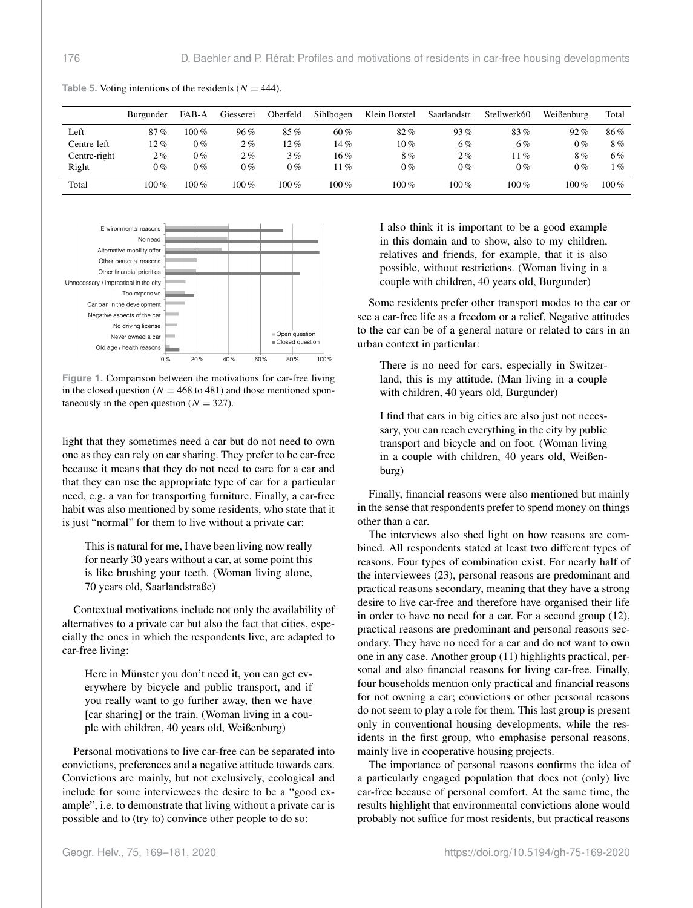|              | Burgunder | FAB-A   | Giesserei | Oberfeld | Sihlbogen | Klein Borstel | Saarlandstr. | Stellwerk60 | Weißenburg | Total                      |
|--------------|-----------|---------|-----------|----------|-----------|---------------|--------------|-------------|------------|----------------------------|
| Left         | 87%       | $100\%$ | 96%       | $85\%$   | 60%       | $82\%$        | 93%          | 83%         | 92%        | 86%                        |
| Centre-left  | 12%       | $0\%$   | $2\%$     | $12\%$   | 14%       | $10\,\%$      | 6%           | 6%          | $0\%$      | 8%                         |
| Centre-right | $2\%$     | $0\%$   | $2\%$     | 3%       | 16%       | 8%            | $2\%$        | $11\%$      | 8%         | 6%                         |
| Right        | 0%        | $0\%$   | 0%        | 0%       | $11\%$    | 0%            | $0\%$        | $0\%$       | $0\%$      | $\overline{\mathcal{G}}_0$ |
| Total        | $100\%$   | $100\%$ | $100\%$   | 100 %    | $100\%$   | $100\%$       | $100\%$      | $100\%$     | $100\%$    | 100 $%$                    |

Table 5. Voting intentions of the residents  $(N = 444)$ .



**Figure 1.** Comparison between the motivations for car-free living in the closed question ( $N = 468$  to 481) and those mentioned spontaneously in the open question ( $N = 327$ ).

light that they sometimes need a car but do not need to own one as they can rely on car sharing. They prefer to be car-free because it means that they do not need to care for a car and that they can use the appropriate type of car for a particular need, e.g. a van for transporting furniture. Finally, a car-free habit was also mentioned by some residents, who state that it is just "normal" for them to live without a private car:

This is natural for me, I have been living now really for nearly 30 years without a car, at some point this is like brushing your teeth. (Woman living alone, 70 years old, Saarlandstraße)

Contextual motivations include not only the availability of alternatives to a private car but also the fact that cities, especially the ones in which the respondents live, are adapted to car-free living:

Here in Münster you don't need it, you can get everywhere by bicycle and public transport, and if you really want to go further away, then we have [car sharing] or the train. (Woman living in a couple with children, 40 years old, Weißenburg)

Personal motivations to live car-free can be separated into convictions, preferences and a negative attitude towards cars. Convictions are mainly, but not exclusively, ecological and include for some interviewees the desire to be a "good example", i.e. to demonstrate that living without a private car is possible and to (try to) convince other people to do so:

I also think it is important to be a good example in this domain and to show, also to my children, relatives and friends, for example, that it is also possible, without restrictions. (Woman living in a couple with children, 40 years old, Burgunder)

Some residents prefer other transport modes to the car or see a car-free life as a freedom or a relief. Negative attitudes to the car can be of a general nature or related to cars in an urban context in particular:

There is no need for cars, especially in Switzerland, this is my attitude. (Man living in a couple with children, 40 years old, Burgunder)

I find that cars in big cities are also just not necessary, you can reach everything in the city by public transport and bicycle and on foot. (Woman living in a couple with children, 40 years old, Weißenburg)

Finally, financial reasons were also mentioned but mainly in the sense that respondents prefer to spend money on things other than a car.

The interviews also shed light on how reasons are combined. All respondents stated at least two different types of reasons. Four types of combination exist. For nearly half of the interviewees (23), personal reasons are predominant and practical reasons secondary, meaning that they have a strong desire to live car-free and therefore have organised their life in order to have no need for a car. For a second group (12), practical reasons are predominant and personal reasons secondary. They have no need for a car and do not want to own one in any case. Another group (11) highlights practical, personal and also financial reasons for living car-free. Finally, four households mention only practical and financial reasons for not owning a car; convictions or other personal reasons do not seem to play a role for them. This last group is present only in conventional housing developments, while the residents in the first group, who emphasise personal reasons, mainly live in cooperative housing projects.

The importance of personal reasons confirms the idea of a particularly engaged population that does not (only) live car-free because of personal comfort. At the same time, the results highlight that environmental convictions alone would probably not suffice for most residents, but practical reasons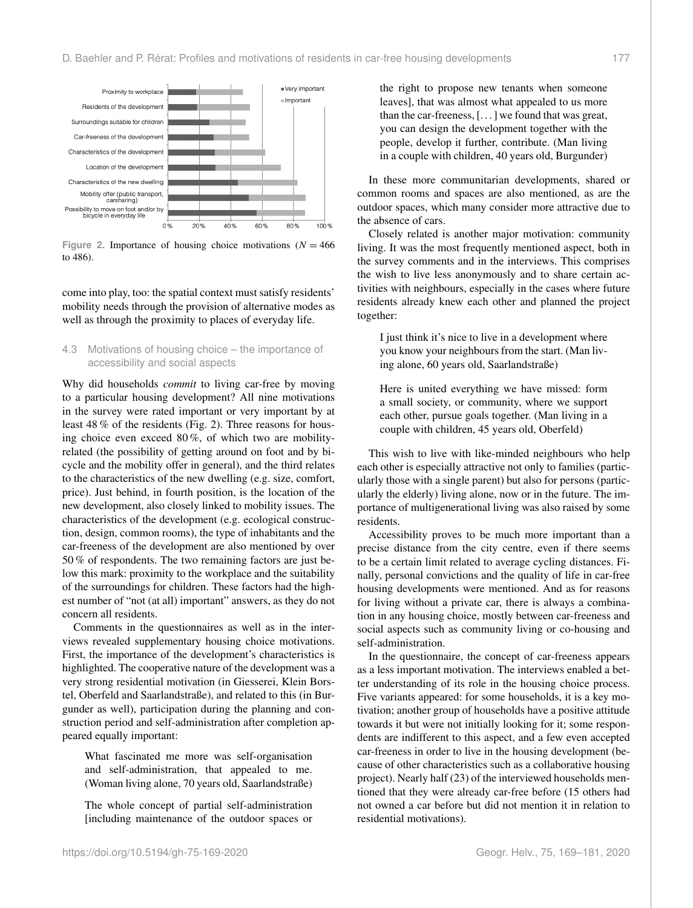

Figure 2. Importance of housing choice motivations ( $N = 466$ ) to 486).

come into play, too: the spatial context must satisfy residents' mobility needs through the provision of alternative modes as well as through the proximity to places of everyday life.

# 4.3 Motivations of housing choice – the importance of accessibility and social aspects

Why did households *commit* to living car-free by moving to a particular housing development? All nine motivations in the survey were rated important or very important by at least 48 % of the residents (Fig. 2). Three reasons for housing choice even exceed 80 %, of which two are mobilityrelated (the possibility of getting around on foot and by bicycle and the mobility offer in general), and the third relates to the characteristics of the new dwelling (e.g. size, comfort, price). Just behind, in fourth position, is the location of the new development, also closely linked to mobility issues. The characteristics of the development (e.g. ecological construction, design, common rooms), the type of inhabitants and the car-freeness of the development are also mentioned by over 50 % of respondents. The two remaining factors are just below this mark: proximity to the workplace and the suitability of the surroundings for children. These factors had the highest number of "not (at all) important" answers, as they do not concern all residents.

Comments in the questionnaires as well as in the interviews revealed supplementary housing choice motivations. First, the importance of the development's characteristics is highlighted. The cooperative nature of the development was a very strong residential motivation (in Giesserei, Klein Borstel, Oberfeld and Saarlandstraße), and related to this (in Burgunder as well), participation during the planning and construction period and self-administration after completion appeared equally important:

What fascinated me more was self-organisation and self-administration, that appealed to me. (Woman living alone, 70 years old, Saarlandstraße)

The whole concept of partial self-administration [including maintenance of the outdoor spaces or

the right to propose new tenants when someone leaves], that was almost what appealed to us more than the car-freeness, [. . . ] we found that was great, you can design the development together with the people, develop it further, contribute. (Man living in a couple with children, 40 years old, Burgunder)

In these more communitarian developments, shared or common rooms and spaces are also mentioned, as are the outdoor spaces, which many consider more attractive due to the absence of cars.

Closely related is another major motivation: community living. It was the most frequently mentioned aspect, both in the survey comments and in the interviews. This comprises the wish to live less anonymously and to share certain activities with neighbours, especially in the cases where future residents already knew each other and planned the project together:

I just think it's nice to live in a development where you know your neighbours from the start. (Man living alone, 60 years old, Saarlandstraße)

Here is united everything we have missed: form a small society, or community, where we support each other, pursue goals together. (Man living in a couple with children, 45 years old, Oberfeld)

This wish to live with like-minded neighbours who help each other is especially attractive not only to families (particularly those with a single parent) but also for persons (particularly the elderly) living alone, now or in the future. The importance of multigenerational living was also raised by some residents.

Accessibility proves to be much more important than a precise distance from the city centre, even if there seems to be a certain limit related to average cycling distances. Finally, personal convictions and the quality of life in car-free housing developments were mentioned. And as for reasons for living without a private car, there is always a combination in any housing choice, mostly between car-freeness and social aspects such as community living or co-housing and self-administration.

In the questionnaire, the concept of car-freeness appears as a less important motivation. The interviews enabled a better understanding of its role in the housing choice process. Five variants appeared: for some households, it is a key motivation; another group of households have a positive attitude towards it but were not initially looking for it; some respondents are indifferent to this aspect, and a few even accepted car-freeness in order to live in the housing development (because of other characteristics such as a collaborative housing project). Nearly half (23) of the interviewed households mentioned that they were already car-free before (15 others had not owned a car before but did not mention it in relation to residential motivations).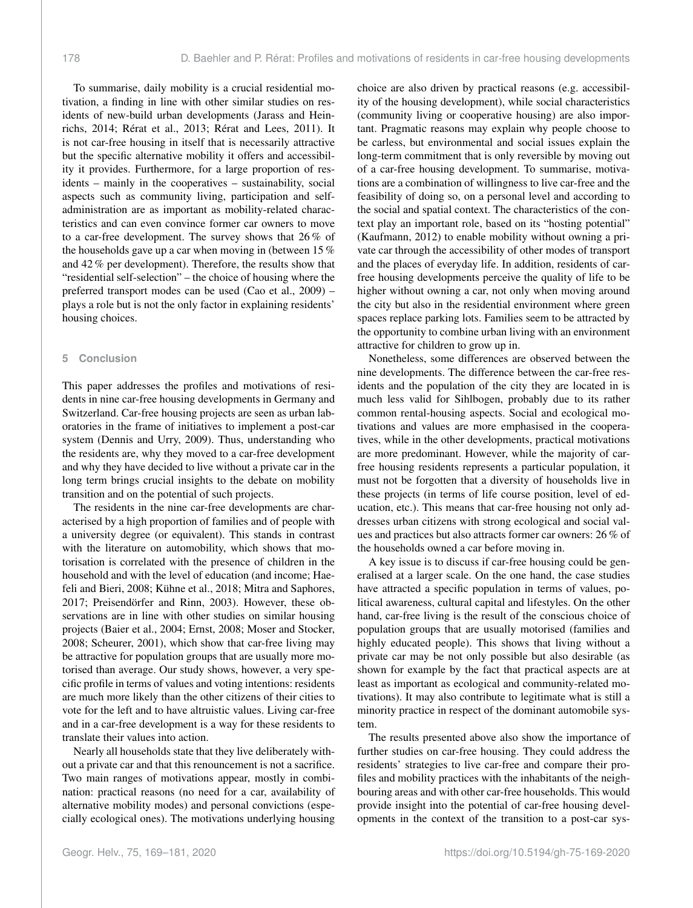To summarise, daily mobility is a crucial residential motivation, a finding in line with other similar studies on residents of new-build urban developments (Jarass and Heinrichs, 2014; Rérat et al., 2013; Rérat and Lees, 2011). It is not car-free housing in itself that is necessarily attractive but the specific alternative mobility it offers and accessibility it provides. Furthermore, for a large proportion of residents – mainly in the cooperatives – sustainability, social aspects such as community living, participation and selfadministration are as important as mobility-related characteristics and can even convince former car owners to move to a car-free development. The survey shows that 26 % of the households gave up a car when moving in (between 15 % and 42 % per development). Therefore, the results show that "residential self-selection" – the choice of housing where the preferred transport modes can be used (Cao et al., 2009) – plays a role but is not the only factor in explaining residents' housing choices.

#### **5 Conclusion**

This paper addresses the profiles and motivations of residents in nine car-free housing developments in Germany and Switzerland. Car-free housing projects are seen as urban laboratories in the frame of initiatives to implement a post-car system (Dennis and Urry, 2009). Thus, understanding who the residents are, why they moved to a car-free development and why they have decided to live without a private car in the long term brings crucial insights to the debate on mobility transition and on the potential of such projects.

The residents in the nine car-free developments are characterised by a high proportion of families and of people with a university degree (or equivalent). This stands in contrast with the literature on automobility, which shows that motorisation is correlated with the presence of children in the household and with the level of education (and income; Haefeli and Bieri, 2008; Kühne et al., 2018; Mitra and Saphores, 2017; Preisendörfer and Rinn, 2003). However, these observations are in line with other studies on similar housing projects (Baier et al., 2004; Ernst, 2008; Moser and Stocker, 2008; Scheurer, 2001), which show that car-free living may be attractive for population groups that are usually more motorised than average. Our study shows, however, a very specific profile in terms of values and voting intentions: residents are much more likely than the other citizens of their cities to vote for the left and to have altruistic values. Living car-free and in a car-free development is a way for these residents to translate their values into action.

Nearly all households state that they live deliberately without a private car and that this renouncement is not a sacrifice. Two main ranges of motivations appear, mostly in combination: practical reasons (no need for a car, availability of alternative mobility modes) and personal convictions (especially ecological ones). The motivations underlying housing

choice are also driven by practical reasons (e.g. accessibility of the housing development), while social characteristics (community living or cooperative housing) are also important. Pragmatic reasons may explain why people choose to be carless, but environmental and social issues explain the long-term commitment that is only reversible by moving out of a car-free housing development. To summarise, motivations are a combination of willingness to live car-free and the feasibility of doing so, on a personal level and according to the social and spatial context. The characteristics of the context play an important role, based on its "hosting potential" (Kaufmann, 2012) to enable mobility without owning a private car through the accessibility of other modes of transport and the places of everyday life. In addition, residents of carfree housing developments perceive the quality of life to be higher without owning a car, not only when moving around the city but also in the residential environment where green spaces replace parking lots. Families seem to be attracted by the opportunity to combine urban living with an environment attractive for children to grow up in.

Nonetheless, some differences are observed between the nine developments. The difference between the car-free residents and the population of the city they are located in is much less valid for Sihlbogen, probably due to its rather common rental-housing aspects. Social and ecological motivations and values are more emphasised in the cooperatives, while in the other developments, practical motivations are more predominant. However, while the majority of carfree housing residents represents a particular population, it must not be forgotten that a diversity of households live in these projects (in terms of life course position, level of education, etc.). This means that car-free housing not only addresses urban citizens with strong ecological and social values and practices but also attracts former car owners: 26 % of the households owned a car before moving in.

A key issue is to discuss if car-free housing could be generalised at a larger scale. On the one hand, the case studies have attracted a specific population in terms of values, political awareness, cultural capital and lifestyles. On the other hand, car-free living is the result of the conscious choice of population groups that are usually motorised (families and highly educated people). This shows that living without a private car may be not only possible but also desirable (as shown for example by the fact that practical aspects are at least as important as ecological and community-related motivations). It may also contribute to legitimate what is still a minority practice in respect of the dominant automobile system.

The results presented above also show the importance of further studies on car-free housing. They could address the residents' strategies to live car-free and compare their profiles and mobility practices with the inhabitants of the neighbouring areas and with other car-free households. This would provide insight into the potential of car-free housing developments in the context of the transition to a post-car sys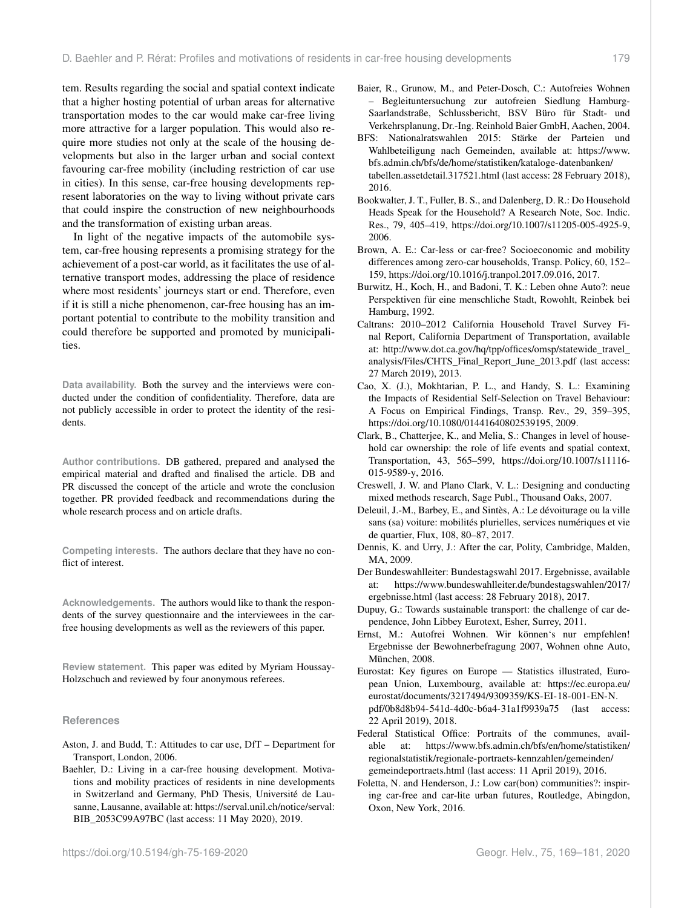tem. Results regarding the social and spatial context indicate that a higher hosting potential of urban areas for alternative transportation modes to the car would make car-free living more attractive for a larger population. This would also require more studies not only at the scale of the housing developments but also in the larger urban and social context favouring car-free mobility (including restriction of car use in cities). In this sense, car-free housing developments represent laboratories on the way to living without private cars that could inspire the construction of new neighbourhoods and the transformation of existing urban areas.

In light of the negative impacts of the automobile system, car-free housing represents a promising strategy for the achievement of a post-car world, as it facilitates the use of alternative transport modes, addressing the place of residence where most residents' journeys start or end. Therefore, even if it is still a niche phenomenon, car-free housing has an important potential to contribute to the mobility transition and could therefore be supported and promoted by municipalities.

**Data availability.** Both the survey and the interviews were conducted under the condition of confidentiality. Therefore, data are not publicly accessible in order to protect the identity of the residents.

**Author contributions.** DB gathered, prepared and analysed the empirical material and drafted and finalised the article. DB and PR discussed the concept of the article and wrote the conclusion together. PR provided feedback and recommendations during the whole research process and on article drafts.

**Competing interests.** The authors declare that they have no conflict of interest.

**Acknowledgements.** The authors would like to thank the respondents of the survey questionnaire and the interviewees in the carfree housing developments as well as the reviewers of this paper.

**Review statement.** This paper was edited by Myriam Houssay-Holzschuch and reviewed by four anonymous referees.

#### **References**

- Aston, J. and Budd, T.: Attitudes to car use, DfT Department for Transport, London, 2006.
- Baehler, D.: Living in a car-free housing development. Motivations and mobility practices of residents in nine developments in Switzerland and Germany, PhD Thesis, Université de Lausanne, Lausanne, available at: [https://serval.unil.ch/notice/serval:](https://serval.unil.ch/notice/serval:BIB_2053C99A97BC) [BIB\\_2053C99A97BC](https://serval.unil.ch/notice/serval:BIB_2053C99A97BC) (last access: 11 May 2020), 2019.
- Baier, R., Grunow, M., and Peter-Dosch, C.: Autofreies Wohnen – Begleituntersuchung zur autofreien Siedlung Hamburg-Saarlandstraße, Schlussbericht, BSV Büro für Stadt- und Verkehrsplanung, Dr.-Ing. Reinhold Baier GmbH, Aachen, 2004.
- BFS: Nationalratswahlen 2015: Stärke der Parteien und Wahlbeteiligung nach Gemeinden, available at: [https://www.](https://www.bfs.admin.ch/bfs/de/home/statistiken/kataloge-datenbanken/tabellen.assetdetail.317521.html) [bfs.admin.ch/bfs/de/home/statistiken/kataloge-datenbanken/](https://www.bfs.admin.ch/bfs/de/home/statistiken/kataloge-datenbanken/tabellen.assetdetail.317521.html) [tabellen.assetdetail.317521.html](https://www.bfs.admin.ch/bfs/de/home/statistiken/kataloge-datenbanken/tabellen.assetdetail.317521.html) (last access: 28 February 2018), 2016.
- Bookwalter, J. T., Fuller, B. S., and Dalenberg, D. R.: Do Household Heads Speak for the Household? A Research Note, Soc. Indic. Res., 79, 405–419, https://doi.org[/10.1007/s11205-005-4925-9,](https://doi.org/10.1007/s11205-005-4925-9) 2006.
- Brown, A. E.: Car-less or car-free? Socioeconomic and mobility differences among zero-car households, Transp. Policy, 60, 152– 159, https://doi.org[/10.1016/j.tranpol.2017.09.016,](https://doi.org/10.1016/j.tranpol.2017.09.016) 2017.
- Burwitz, H., Koch, H., and Badoni, T. K.: Leben ohne Auto?: neue Perspektiven für eine menschliche Stadt, Rowohlt, Reinbek bei Hamburg, 1992.
- Caltrans: 2010–2012 California Household Travel Survey Final Report, California Department of Transportation, available at: [http://www.dot.ca.gov/hq/tpp/offices/omsp/statewide\\_travel\\_](http://www.dot.ca.gov/hq/tpp/offices/omsp/statewide_travel_analysis/Files/CHTS_Final_Report_June_2013.pdf) [analysis/Files/CHTS\\_Final\\_Report\\_June\\_2013.pdf](http://www.dot.ca.gov/hq/tpp/offices/omsp/statewide_travel_analysis/Files/CHTS_Final_Report_June_2013.pdf) (last access: 27 March 2019), 2013.
- Cao, X. (J.), Mokhtarian, P. L., and Handy, S. L.: Examining the Impacts of Residential Self-Selection on Travel Behaviour: A Focus on Empirical Findings, Transp. Rev., 29, 359–395, https://doi.org[/10.1080/01441640802539195,](https://doi.org/10.1080/01441640802539195) 2009.
- Clark, B., Chatterjee, K., and Melia, S.: Changes in level of household car ownership: the role of life events and spatial context, Transportation, 43, 565–599, https://doi.org[/10.1007/s11116-](https://doi.org/10.1007/s11116-015-9589-y) [015-9589-y,](https://doi.org/10.1007/s11116-015-9589-y) 2016.
- Creswell, J. W. and Plano Clark, V. L.: Designing and conducting mixed methods research, Sage Publ., Thousand Oaks, 2007.
- Deleuil, J.-M., Barbey, E., and Sintès, A.: Le dévoiturage ou la ville sans (sa) voiture: mobilités plurielles, services numériques et vie de quartier, Flux, 108, 80–87, 2017.
- Dennis, K. and Urry, J.: After the car, Polity, Cambridge, Malden, MA, 2009.
- Der Bundeswahlleiter: Bundestagswahl 2017. Ergebnisse, available at: [https://www.bundeswahlleiter.de/bundestagswahlen/2017/](https://www.bundeswahlleiter.de/bundestagswahlen/2017/ergebnisse.html) [ergebnisse.html](https://www.bundeswahlleiter.de/bundestagswahlen/2017/ergebnisse.html) (last access: 28 February 2018), 2017.
- Dupuy, G.: Towards sustainable transport: the challenge of car dependence, John Libbey Eurotext, Esher, Surrey, 2011.
- Ernst, M.: Autofrei Wohnen. Wir können's nur empfehlen! Ergebnisse der Bewohnerbefragung 2007, Wohnen ohne Auto, München, 2008.
- Eurostat: Key figures on Europe Statistics illustrated, European Union, Luxembourg, available at: [https://ec.europa.eu/](https://ec.europa.eu/eurostat/documents/3217494/9309359/KS-EI-18-001-EN-N.pdf/0b8d8b94-541d-4d0c-b6a4-31a1f9939a75) [eurostat/documents/3217494/9309359/KS-EI-18-001-EN-N.](https://ec.europa.eu/eurostat/documents/3217494/9309359/KS-EI-18-001-EN-N.pdf/0b8d8b94-541d-4d0c-b6a4-31a1f9939a75) [pdf/0b8d8b94-541d-4d0c-b6a4-31a1f9939a75](https://ec.europa.eu/eurostat/documents/3217494/9309359/KS-EI-18-001-EN-N.pdf/0b8d8b94-541d-4d0c-b6a4-31a1f9939a75) (last access: 22 April 2019), 2018.
- Federal Statistical Office: Portraits of the communes, available at: [https://www.bfs.admin.ch/bfs/en/home/statistiken/](https://www.bfs.admin.ch/bfs/en/home/statistiken/regionalstatistik/regionale-portraets-kennzahlen/gemeinden/gemeindeportraets.html) [regionalstatistik/regionale-portraets-kennzahlen/gemeinden/](https://www.bfs.admin.ch/bfs/en/home/statistiken/regionalstatistik/regionale-portraets-kennzahlen/gemeinden/gemeindeportraets.html) [gemeindeportraets.html](https://www.bfs.admin.ch/bfs/en/home/statistiken/regionalstatistik/regionale-portraets-kennzahlen/gemeinden/gemeindeportraets.html) (last access: 11 April 2019), 2016.
- Foletta, N. and Henderson, J.: Low car(bon) communities?: inspiring car-free and car-lite urban futures, Routledge, Abingdon, Oxon, New York, 2016.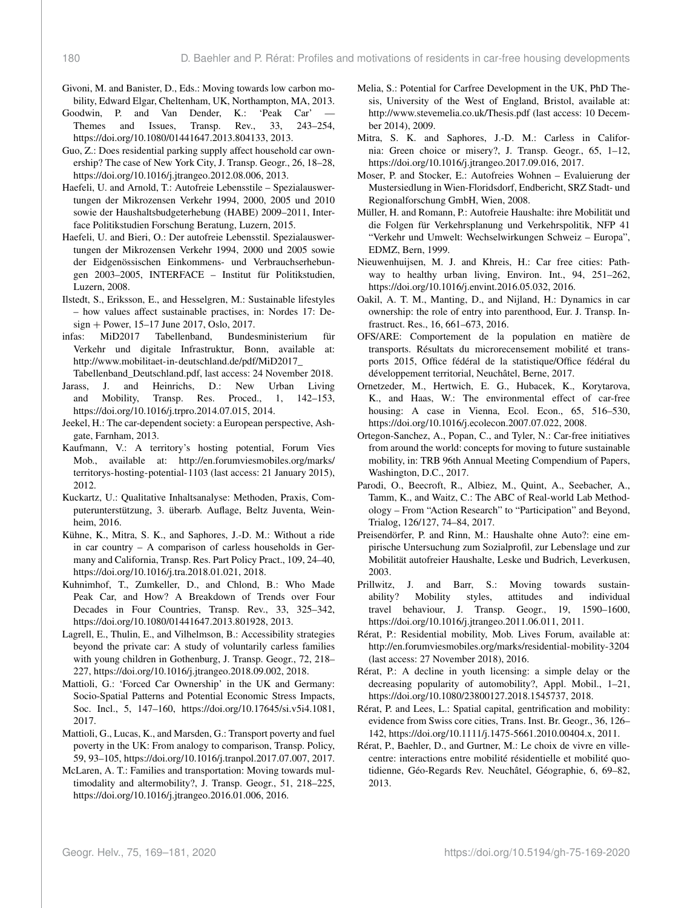Givoni, M. and Banister, D., Eds.: Moving towards low carbon mobility, Edward Elgar, Cheltenham, UK, Northampton, MA, 2013.

Goodwin, P. and Van Dender, K.: 'Peak Car' — Themes and Issues, Transp. Rev., 33, 243–254, https://doi.org[/10.1080/01441647.2013.804133,](https://doi.org/10.1080/01441647.2013.804133) 2013.

Guo, Z.: Does residential parking supply affect household car ownership? The case of New York City, J. Transp. Geogr., 26, 18–28, https://doi.org[/10.1016/j.jtrangeo.2012.08.006,](https://doi.org/10.1016/j.jtrangeo.2012.08.006) 2013.

- Haefeli, U. and Arnold, T.: Autofreie Lebensstile Spezialauswertungen der Mikrozensen Verkehr 1994, 2000, 2005 und 2010 sowie der Haushaltsbudgeterhebung (HABE) 2009–2011, Interface Politikstudien Forschung Beratung, Luzern, 2015.
- Haefeli, U. and Bieri, O.: Der autofreie Lebensstil. Spezialauswertungen der Mikrozensen Verkehr 1994, 2000 und 2005 sowie der Eidgenössischen Einkommens- und Verbrauchserhebungen 2003–2005, INTERFACE – Institut für Politikstudien, Luzern, 2008.
- Ilstedt, S., Eriksson, E., and Hesselgren, M.: Sustainable lifestyles – how values affect sustainable practises, in: Nordes 17: Design + Power, 15–17 June 2017, Oslo, 2017.<br>
fas: MiD2017 Tabellenband, Bundes
- infas: MiD2017 Tabellenband, Bundesministerium für Verkehr und digitale Infrastruktur, Bonn, available at: [http://www.mobilitaet-in-deutschland.de/pdf/MiD2017\\_](http://www.mobilitaet-in-deutschland.de/pdf/MiD2017_Tabellenband_Deutschland.pdf)

[Tabellenband\\_Deutschland.pdf,](http://www.mobilitaet-in-deutschland.de/pdf/MiD2017_Tabellenband_Deutschland.pdf) last access: 24 November 2018.

- Jarass, J. and Heinrichs, D.: New Urban Living<br>and Mobility, Transp. Res. Proced., 1, 142–153, and Mobility, Transp. Res. Proced., 1, 142–153, https://doi.org[/10.1016/j.trpro.2014.07.015,](https://doi.org/10.1016/j.trpro.2014.07.015) 2014.
- Jeekel, H.: The car-dependent society: a European perspective, Ashgate, Farnham, 2013.
- Kaufmann, V.: A territory's hosting potential, Forum Vies Mob., available at: [http://en.forumviesmobiles.org/marks/](http://en.forumviesmobiles.org/marks/territorys-hosting-potential-1103) [territorys-hosting-potential-1103](http://en.forumviesmobiles.org/marks/territorys-hosting-potential-1103) (last access: 21 January 2015), 2012.
- Kuckartz, U.: Qualitative Inhaltsanalyse: Methoden, Praxis, Computerunterstützung, 3. überarb. Auflage, Beltz Juventa, Weinheim, 2016.
- Kühne, K., Mitra, S. K., and Saphores, J.-D. M.: Without a ride in car country – A comparison of carless households in Germany and California, Transp. Res. Part Policy Pract., 109, 24–40, https://doi.org[/10.1016/j.tra.2018.01.021,](https://doi.org/10.1016/j.tra.2018.01.021) 2018.
- Kuhnimhof, T., Zumkeller, D., and Chlond, B.: Who Made Peak Car, and How? A Breakdown of Trends over Four Decades in Four Countries, Transp. Rev., 33, 325–342, https://doi.org[/10.1080/01441647.2013.801928,](https://doi.org/10.1080/01441647.2013.801928) 2013.
- Lagrell, E., Thulin, E., and Vilhelmson, B.: Accessibility strategies beyond the private car: A study of voluntarily carless families with young children in Gothenburg, J. Transp. Geogr., 72, 218– 227, https://doi.org[/10.1016/j.jtrangeo.2018.09.002,](https://doi.org/10.1016/j.jtrangeo.2018.09.002) 2018.
- Mattioli, G.: 'Forced Car Ownership' in the UK and Germany: Socio-Spatial Patterns and Potential Economic Stress Impacts, Soc. Incl., 5, 147–160, https://doi.org[/10.17645/si.v5i4.1081,](https://doi.org/10.17645/si.v5i4.1081) 2017.
- Mattioli, G., Lucas, K., and Marsden, G.: Transport poverty and fuel poverty in the UK: From analogy to comparison, Transp. Policy, 59, 93–105, https://doi.org[/10.1016/j.tranpol.2017.07.007,](https://doi.org/10.1016/j.tranpol.2017.07.007) 2017.
- McLaren, A. T.: Families and transportation: Moving towards multimodality and altermobility?, J. Transp. Geogr., 51, 218–225, https://doi.org[/10.1016/j.jtrangeo.2016.01.006,](https://doi.org/10.1016/j.jtrangeo.2016.01.006) 2016.
- Melia, S.: Potential for Carfree Development in the UK, PhD Thesis, University of the West of England, Bristol, available at: <http://www.stevemelia.co.uk/Thesis.pdf> (last access: 10 December 2014), 2009.
- Mitra, S. K. and Saphores, J.-D. M.: Carless in California: Green choice or misery?, J. Transp. Geogr., 65, 1–12, https://doi.org[/10.1016/j.jtrangeo.2017.09.016,](https://doi.org/10.1016/j.jtrangeo.2017.09.016) 2017.
- Moser, P. and Stocker, E.: Autofreies Wohnen Evaluierung der Mustersiedlung in Wien-Floridsdorf, Endbericht, SRZ Stadt- und Regionalforschung GmbH, Wien, 2008.
- Müller, H. and Romann, P.: Autofreie Haushalte: ihre Mobilität und die Folgen für Verkehrsplanung und Verkehrspolitik, NFP 41 "Verkehr und Umwelt: Wechselwirkungen Schweiz – Europa", EDMZ, Bern, 1999.
- Nieuwenhuijsen, M. J. and Khreis, H.: Car free cities: Pathway to healthy urban living, Environ. Int., 94, 251–262, https://doi.org[/10.1016/j.envint.2016.05.032,](https://doi.org/10.1016/j.envint.2016.05.032) 2016.
- Oakil, A. T. M., Manting, D., and Nijland, H.: Dynamics in car ownership: the role of entry into parenthood, Eur. J. Transp. Infrastruct. Res., 16, 661–673, 2016.
- OFS/ARE: Comportement de la population en matière de transports. Résultats du microrecensement mobilité et transports 2015, Office fédéral de la statistique/Office fédéral du développement territorial, Neuchâtel, Berne, 2017.
- Ornetzeder, M., Hertwich, E. G., Hubacek, K., Korytarova, K., and Haas, W.: The environmental effect of car-free housing: A case in Vienna, Ecol. Econ., 65, 516–530, https://doi.org[/10.1016/j.ecolecon.2007.07.022,](https://doi.org/10.1016/j.ecolecon.2007.07.022) 2008.
- Ortegon-Sanchez, A., Popan, C., and Tyler, N.: Car-free initiatives from around the world: concepts for moving to future sustainable mobility, in: TRB 96th Annual Meeting Compendium of Papers, Washington, D.C., 2017.
- Parodi, O., Beecroft, R., Albiez, M., Quint, A., Seebacher, A., Tamm, K., and Waitz, C.: The ABC of Real-world Lab Methodology – From "Action Research" to "Participation" and Beyond, Trialog, 126/127, 74–84, 2017.
- Preisendörfer, P. and Rinn, M.: Haushalte ohne Auto?: eine empirische Untersuchung zum Sozialprofil, zur Lebenslage und zur Mobilität autofreier Haushalte, Leske und Budrich, Leverkusen, 2003.
- Prillwitz, J. and Barr, S.: Moving towards sustainability? Mobility styles, attitudes and individual travel behaviour, J. Transp. Geogr., 19, 1590–1600, https://doi.org[/10.1016/j.jtrangeo.2011.06.011,](https://doi.org/10.1016/j.jtrangeo.2011.06.011) 2011.
- Rérat, P.: Residential mobility, Mob. Lives Forum, available at: <http://en.forumviesmobiles.org/marks/residential-mobility-3204> (last access: 27 November 2018), 2016.
- Rérat, P.: A decline in youth licensing: a simple delay or the decreasing popularity of automobility?, Appl. Mobil., 1–21, https://doi.org[/10.1080/23800127.2018.1545737,](https://doi.org/10.1080/23800127.2018.1545737) 2018.
- Rérat, P. and Lees, L.: Spatial capital, gentrification and mobility: evidence from Swiss core cities, Trans. Inst. Br. Geogr., 36, 126– 142, https://doi.org[/10.1111/j.1475-5661.2010.00404.x,](https://doi.org/10.1111/j.1475-5661.2010.00404.x) 2011.
- Rérat, P., Baehler, D., and Gurtner, M.: Le choix de vivre en villecentre: interactions entre mobilité résidentielle et mobilité quotidienne, Géo-Regards Rev. Neuchâtel, Géographie, 6, 69–82, 2013.